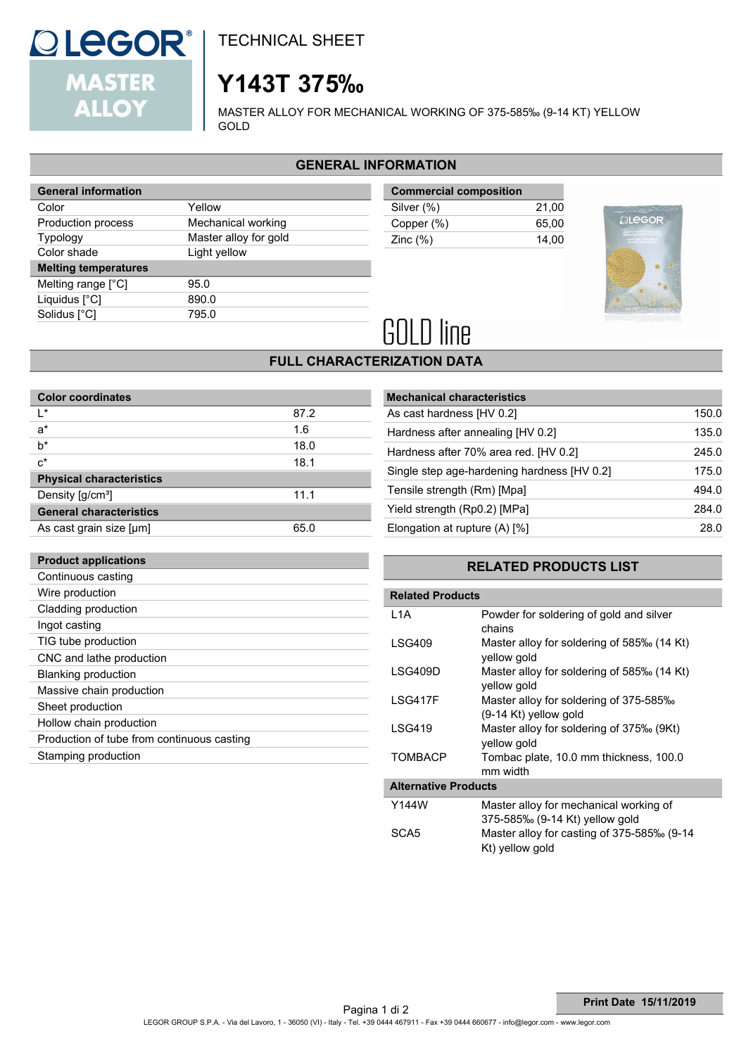

**Product applications**

TECHNICAL SHEET

# **Y143T 375‰**

MASTER ALLOY FOR MECHANICAL WORKING OF 375-585‰ (9-14 KT) YELLOW GOLD

### **GENERAL INFORMATION**

| <b>General information</b>  |                       |  |
|-----------------------------|-----------------------|--|
| Color                       | Yellow                |  |
| Production process          | Mechanical working    |  |
| <b>Typology</b>             | Master alloy for gold |  |
| Color shade                 | Light yellow          |  |
|                             |                       |  |
| <b>Melting temperatures</b> |                       |  |
| Melting range $[^{\circ}C]$ | 95.0                  |  |
| Liquidus $[^{\circ}C]$      | 890.0                 |  |
| Solidus [°C]                | 795.0                 |  |

| <b>Commercial composition</b> |       |
|-------------------------------|-------|
| Silver (%)                    | 21.00 |
| Copper (%)                    | 65.00 |
| Zinc $(\%)$                   | 14.00 |
|                               |       |



# **GOLD** line

## **FULL CHARACTERIZATION DATA**

| <b>Color coordinates</b>        |      |  |  |
|---------------------------------|------|--|--|
| ı∗                              | 87.2 |  |  |
| $a^*$                           | 1.6  |  |  |
| $b^*$                           | 18.0 |  |  |
| $c^*$                           | 18.1 |  |  |
| <b>Physical characteristics</b> |      |  |  |
| Density [g/cm <sup>3</sup> ]    | 11.1 |  |  |
| <b>General characteristics</b>  |      |  |  |
| As cast grain size [µm]         | 65 O |  |  |

| <b>Mechanical characteristics</b>           |       |
|---------------------------------------------|-------|
| As cast hardness [HV 0.2]                   | 150.0 |
| Hardness after annealing [HV 0.2]           | 135.0 |
| Hardness after 70% area red. [HV 0.2]       | 245.0 |
| Single step age-hardening hardness [HV 0.2] | 175.0 |
| Tensile strength (Rm) [Mpa]                 | 494.0 |
| Yield strength (Rp0.2) [MPa]                | 284.0 |
| Elongation at rupture (A) [%]               | 28.0  |

### **RELATED PRODUCTS LIST**

| Continuous casting                         |                         |                                                                   |  |
|--------------------------------------------|-------------------------|-------------------------------------------------------------------|--|
| Wire production                            | <b>Related Products</b> |                                                                   |  |
| Cladding production                        | L <sub>1</sub> A        | Powder for soldering of gold and silver                           |  |
| Ingot casting                              |                         | chains                                                            |  |
| TIG tube production                        | I SG409                 | Master alloy for soldering of 585‰ (14 Kt)                        |  |
| CNC and lathe production                   |                         | yellow gold                                                       |  |
| Blanking production                        | LSG409D                 | Master alloy for soldering of 585‰ (14 Kt)                        |  |
| Massive chain production                   |                         | vellow gold                                                       |  |
| Sheet production                           | LSG417F                 | Master alloy for soldering of 375-585‰                            |  |
| Hollow chain production                    | <b>LSG419</b>           | (9-14 Kt) yellow gold<br>Master alloy for soldering of 375‰ (9Kt) |  |
| Production of tube from continuous casting |                         | vellow gold                                                       |  |
| Stamping production                        | <b>TOMBACP</b>          | Tombac plate, 10.0 mm thickness, 100.0<br>mm width                |  |

 **Alternative Products**

| Y144W            | Master alloy for mechanical working of                        |
|------------------|---------------------------------------------------------------|
|                  | 375-585% (9-14 Kt) yellow gold                                |
| SCA <sub>5</sub> | Master alloy for casting of 375-585‰ (9-14<br>Kt) yellow gold |